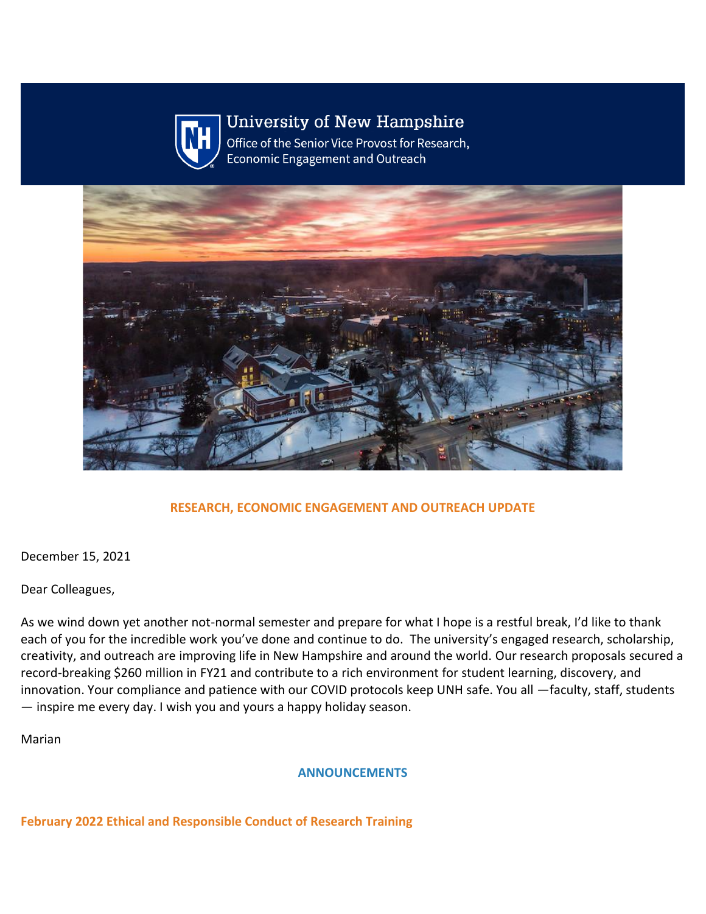

# **University of New Hampshire**

Office of the Senior Vice Provost for Research, **Economic Engagement and Outreach** 



# **RESEARCH, ECONOMIC ENGAGEMENT AND OUTREACH UPDATE**

December 15, 2021

Dear Colleagues,

As we wind down yet another not-normal semester and prepare for what I hope is a restful break, I'd like to thank each of you for the incredible work you've done and continue to do. The university's engaged research, scholarship, creativity, and outreach are improving life in New Hampshire and around the world. Our research proposals secured a record-breaking \$260 million in FY21 and contribute to a rich environment for student learning, discovery, and innovation. Your compliance and patience with our COVID protocols keep UNH safe. You all —faculty, staff, students — inspire me every day. I wish you and yours a happy holiday season.

Marian

## **ANNOUNCEMENTS**

**February 2022 Ethical and Responsible Conduct of Research Training**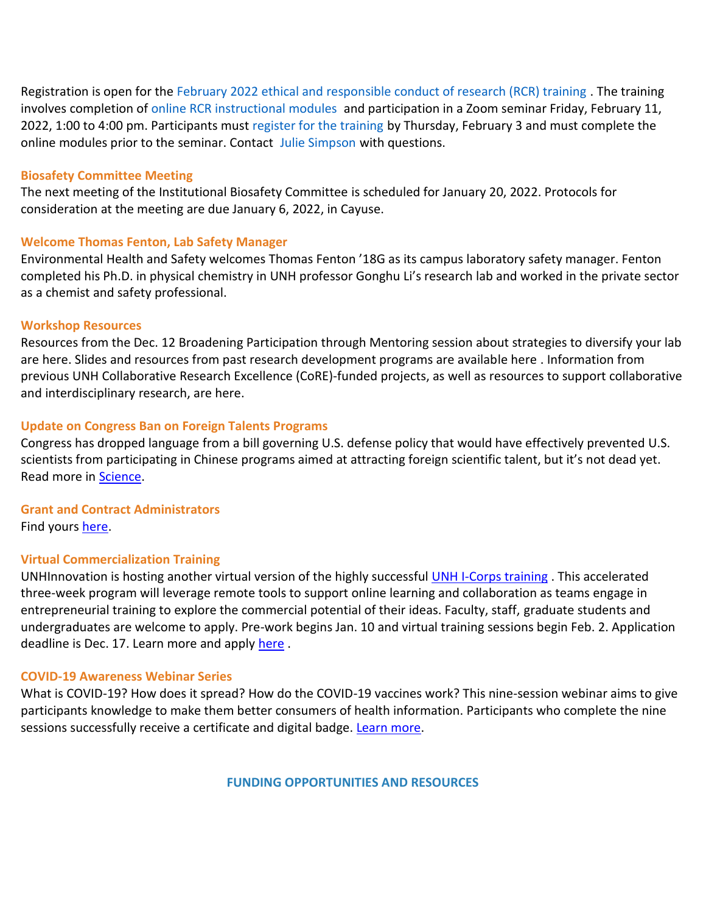Registration is open for the [February 2022 ethical and responsible conduct of research \(RCR\) training](https://nam12.safelinks.protection.outlook.com/?url=https%3A%2F%2Fclick.send.unh.edu%2F%3Fqs%3D9d13ff4d9cefc477768096982860130e639d29fa318c25e806eee07b4241fd5466a49f514b860f8784ad7fce97f3d1c61c727a1ef012c070&data=04%7C01%7CNicole.Hentz%40unh.edu%7C956b9a348c434366d88008d9bfe9aba1%7Cd6241893512d46dc8d2bbe47e25f5666%7C0%7C0%7C637751832589119892%7CUnknown%7CTWFpbGZsb3d8eyJWIjoiMC4wLjAwMDAiLCJQIjoiV2luMzIiLCJBTiI6Ik1haWwiLCJXVCI6Mn0%3D%7C3000&sdata=dl9Km6VIyOOl9ZxDGXGxljaCPj7u3TuAY89K42g4GQw%3D&reserved=0) . The training involves completion of [online RCR instructional modules](https://nam12.safelinks.protection.outlook.com/?url=https%3A%2F%2Fclick.send.unh.edu%2F%3Fqs%3D9d13ff4d9cefc477ad22b43eac72cea7d84d9504e4b8e5a3f72f8e3f79692a4b20c01b2a4ffa3787a40bb45b8c7400a07031025e4a41122f&data=04%7C01%7CNicole.Hentz%40unh.edu%7C956b9a348c434366d88008d9bfe9aba1%7Cd6241893512d46dc8d2bbe47e25f5666%7C0%7C0%7C637751832589129851%7CUnknown%7CTWFpbGZsb3d8eyJWIjoiMC4wLjAwMDAiLCJQIjoiV2luMzIiLCJBTiI6Ik1haWwiLCJXVCI6Mn0%3D%7C3000&sdata=pKRgcKRPQpEAN0D6UU66qW7EmeIpafSn76A2Uf8TzfA%3D&reserved=0) and participation in a Zoom seminar Friday, February 11, 2022, 1:00 to 4:00 pm. Participants must [register for the training](https://nam12.safelinks.protection.outlook.com/?url=https%3A%2F%2Fclick.send.unh.edu%2F%3Fqs%3D9d13ff4d9cefc477f1197e7607ad6794ea156410419d196edf363d9aa24dd55679544add9e5596a9a31ef81f523d925da7dd6b223b48247c&data=04%7C01%7CNicole.Hentz%40unh.edu%7C956b9a348c434366d88008d9bfe9aba1%7Cd6241893512d46dc8d2bbe47e25f5666%7C0%7C0%7C637751832589139803%7CUnknown%7CTWFpbGZsb3d8eyJWIjoiMC4wLjAwMDAiLCJQIjoiV2luMzIiLCJBTiI6Ik1haWwiLCJXVCI6Mn0%3D%7C3000&sdata=r4%2FOjZWLzALnUVP5qb9EYOKej6%2F1%2F4yIlnejJAkkryQ%3D&reserved=0) by Thursday, February 3 and must complete the online modules prior to the seminar. Contact [Julie Simpson](mailto:julie.simpson@unh.edu) with questions.

#### **Biosafety Committee Meeting**

The next meeting of th[e Institutional Biosafety Committee](https://nam12.safelinks.protection.outlook.com/?url=https%3A%2F%2Fclick.send.unh.edu%2F%3Fqs%3D9d13ff4d9cefc47795d99b079f1d812db5c537bc14cf56db5d6cc72e177d2149035da2626d8d87540f9afef8f53b4b0ec5e0f29fe1b5a5a7&data=04%7C01%7CNicole.Hentz%40unh.edu%7C956b9a348c434366d88008d9bfe9aba1%7Cd6241893512d46dc8d2bbe47e25f5666%7C0%7C0%7C637751832589139803%7CUnknown%7CTWFpbGZsb3d8eyJWIjoiMC4wLjAwMDAiLCJQIjoiV2luMzIiLCJBTiI6Ik1haWwiLCJXVCI6Mn0%3D%7C3000&sdata=SkNYcwQmLZZQfeMVj9UnMeoIAlgIJOuhNMUwUdGqDY4%3D&reserved=0) is scheduled for January 20, 2022. Protocols for consideration at the meeting are due January 6, 2022, in Cayuse.

#### **Welcome Thomas Fenton, Lab Safety Manager**

[Environmental Health and Safety](https://nam12.safelinks.protection.outlook.com/?url=https%3A%2F%2Fclick.send.unh.edu%2F%3Fqs%3D9d13ff4d9cefc4771f81f50262c7b88bdb26a31ee0c9da2c731ff70af6cd2d6f404a0f4d7bf1fd0fabcbef23ce8a61921c6b27a3f76f440d&data=04%7C01%7CNicole.Hentz%40unh.edu%7C956b9a348c434366d88008d9bfe9aba1%7Cd6241893512d46dc8d2bbe47e25f5666%7C0%7C0%7C637751832589139803%7CUnknown%7CTWFpbGZsb3d8eyJWIjoiMC4wLjAwMDAiLCJQIjoiV2luMzIiLCJBTiI6Ik1haWwiLCJXVCI6Mn0%3D%7C3000&sdata=k3bli8Pm7BOpvlhpAagiQO1NJnFGZPE%2FHWelPsmtTQg%3D&reserved=0) welcomes Thomas Fenton '18G as its campus laboratory safety manager. Fenton completed his Ph.D. in physical chemistry in UNH professor Gonghu Li's research lab and worked in the private sector as a chemist and safety professional.

#### **Workshop Resources**

Resources from the Dec. 12 Broadening Participation through Mentoring session about strategies to diversify your lab are [here.](https://nam12.safelinks.protection.outlook.com/?url=https%3A%2F%2Fclick.send.unh.edu%2F%3Fqs%3D9d13ff4d9cefc4770a8aede3c5d8a34f14d9047fbd2ac5a3867dc68341a01a44853e6cd1b47391929cf8b176de0345387366645feed1c14e&data=04%7C01%7CNicole.Hentz%40unh.edu%7C956b9a348c434366d88008d9bfe9aba1%7Cd6241893512d46dc8d2bbe47e25f5666%7C0%7C0%7C637751832589149763%7CUnknown%7CTWFpbGZsb3d8eyJWIjoiMC4wLjAwMDAiLCJQIjoiV2luMzIiLCJBTiI6Ik1haWwiLCJXVCI6Mn0%3D%7C3000&sdata=zWXKIyccxh6%2BBq%2BmjfxhOQl8x3GoJoS7d6nhQb%2B%2FOVg%3D&reserved=0) Slides and resources from past research development programs are available [here](https://nam12.safelinks.protection.outlook.com/?url=https%3A%2F%2Fclick.send.unh.edu%2F%3Fqs%3D9d13ff4d9cefc477919afda383fd9cf4d402daa26edf8e846275221b144b076f99a541d530c2d71357e908d182788524e9f300acfda35040&data=04%7C01%7CNicole.Hentz%40unh.edu%7C956b9a348c434366d88008d9bfe9aba1%7Cd6241893512d46dc8d2bbe47e25f5666%7C0%7C0%7C637751832589149763%7CUnknown%7CTWFpbGZsb3d8eyJWIjoiMC4wLjAwMDAiLCJQIjoiV2luMzIiLCJBTiI6Ik1haWwiLCJXVCI6Mn0%3D%7C3000&sdata=yhvnAjSEumY5gC2N8ZXtU3H%2BpxzoQi%2Bxlcg9oU%2B5N10%3D&reserved=0) . Information from previous UNH Collaborative Research Excellence (CoRE)-funded projects, as well as resources to support collaborative and interdisciplinary research, are [here.](https://nam12.safelinks.protection.outlook.com/?url=https%3A%2F%2Fclick.send.unh.edu%2F%3Fqs%3D9d13ff4d9cefc47748ee413cc96e996acc06d40d772d3b7dd76f4661d277d23dea7bfe80325ad64df800551246c60c9b3dbfe28705d0db32&data=04%7C01%7CNicole.Hentz%40unh.edu%7C956b9a348c434366d88008d9bfe9aba1%7Cd6241893512d46dc8d2bbe47e25f5666%7C0%7C0%7C637751832589159719%7CUnknown%7CTWFpbGZsb3d8eyJWIjoiMC4wLjAwMDAiLCJQIjoiV2luMzIiLCJBTiI6Ik1haWwiLCJXVCI6Mn0%3D%7C3000&sdata=qCiYOYUUWU%2F1SEZfVVtwDBkqGQ5C73VmOfDQGW1%2B7xs%3D&reserved=0)

#### **Update on Congress Ban on Foreign Talents Programs**

Congress has dropped language from a bill governing U.S. defense policy that would have effectively prevented U.S. scientists from participating in Chinese programs aimed at attracting foreign scientific talent, but it's not dead yet. Read more in [Science.](https://nam12.safelinks.protection.outlook.com/?url=https%3A%2F%2Fclick.send.unh.edu%2F%3Fqs%3D9d13ff4d9cefc477ee4913857e9657df3b13c7b5597267814442460e8e0b294250aaff068dabe0b8b58b78a8b35289a12eef068e96950c57&data=04%7C01%7CNicole.Hentz%40unh.edu%7C956b9a348c434366d88008d9bfe9aba1%7Cd6241893512d46dc8d2bbe47e25f5666%7C0%7C0%7C637751832589159719%7CUnknown%7CTWFpbGZsb3d8eyJWIjoiMC4wLjAwMDAiLCJQIjoiV2luMzIiLCJBTiI6Ik1haWwiLCJXVCI6Mn0%3D%7C3000&sdata=n1Lu6I2bPS4BlP23lskIfmXE4yUXVhrxYCOzVw2GsZE%3D&reserved=0)

### **Grant and Contract Administrators** Find yours [here.](https://nam12.safelinks.protection.outlook.com/?url=https%3A%2F%2Fclick.send.unh.edu%2F%3Fqs%3D9d13ff4d9cefc477edb78e134f0161baa4711c5af0e81d82dbf7b0208f6f11c6b8c4c5c8b144f2e75e36ef189cf3c4aaf395be155e9c986b&data=04%7C01%7CNicole.Hentz%40unh.edu%7C956b9a348c434366d88008d9bfe9aba1%7Cd6241893512d46dc8d2bbe47e25f5666%7C0%7C0%7C637751832589169674%7CUnknown%7CTWFpbGZsb3d8eyJWIjoiMC4wLjAwMDAiLCJQIjoiV2luMzIiLCJBTiI6Ik1haWwiLCJXVCI6Mn0%3D%7C3000&sdata=d6xGyIiUX76SPV0iuftcvudRB7e0HP4utLqvpUDp6vk%3D&reserved=0)

# **Virtual Commercialization Training**

UNHInnovation is hosting another virtual version of the highly successful UNH I-Corps [training](https://nam12.safelinks.protection.outlook.com/?url=https%3A%2F%2Fclick.send.unh.edu%2F%3Fqs%3D9d13ff4d9cefc477d7a748f6ada5446e093a0f7a94aa4ab35ffb3cbb07b9adbce604b1d258c3756996ac89b857926f40893671b2136ce66d&data=04%7C01%7CNicole.Hentz%40unh.edu%7C956b9a348c434366d88008d9bfe9aba1%7Cd6241893512d46dc8d2bbe47e25f5666%7C0%7C0%7C637751832589179630%7CUnknown%7CTWFpbGZsb3d8eyJWIjoiMC4wLjAwMDAiLCJQIjoiV2luMzIiLCJBTiI6Ik1haWwiLCJXVCI6Mn0%3D%7C3000&sdata=Gm2kB%2FFAK1Ie2xoLWn5VsLFZay7nAZHATu%2BKRPQIDvU%3D&reserved=0). This accelerated three-week program will leverage remote tools to support online learning and collaboration as teams engage in entrepreneurial training to explore the commercial potential of their ideas. Faculty, staff, graduate students and undergraduates are welcome to apply. Pre-work begins Jan. 10 and virtual training sessions begin Feb. 2. Application deadline is Dec. 17. Learn more and apply [here](https://nam12.safelinks.protection.outlook.com/?url=https%3A%2F%2Fclick.send.unh.edu%2F%3Fqs%3D9d13ff4d9cefc477d7a748f6ada5446e093a0f7a94aa4ab35ffb3cbb07b9adbce604b1d258c3756996ac89b857926f40893671b2136ce66d&data=04%7C01%7CNicole.Hentz%40unh.edu%7C956b9a348c434366d88008d9bfe9aba1%7Cd6241893512d46dc8d2bbe47e25f5666%7C0%7C0%7C637751832589179630%7CUnknown%7CTWFpbGZsb3d8eyJWIjoiMC4wLjAwMDAiLCJQIjoiV2luMzIiLCJBTiI6Ik1haWwiLCJXVCI6Mn0%3D%7C3000&sdata=Gm2kB%2FFAK1Ie2xoLWn5VsLFZay7nAZHATu%2BKRPQIDvU%3D&reserved=0) .

#### **COVID-19 Awareness Webinar Series**

What is COVID-19? How does it spread? How do the COVID-19 vaccines work? This nine-session webinar aims to give participants knowledge to make them better consumers of health information. Participants who complete the nine sessions successfully receive a certificate and digital badge. [Learn more.](https://nam12.safelinks.protection.outlook.com/?url=https%3A%2F%2Fclick.send.unh.edu%2F%3Fqs%3D9d13ff4d9cefc477171d6e9ed8bbeb0d668088c83e17121f10f6ebb11e36ff16cf89788d96c3146bfebd42946df6ef95bd9f6c89f4ef8415&data=04%7C01%7CNicole.Hentz%40unh.edu%7C956b9a348c434366d88008d9bfe9aba1%7Cd6241893512d46dc8d2bbe47e25f5666%7C0%7C0%7C637751832589189585%7CUnknown%7CTWFpbGZsb3d8eyJWIjoiMC4wLjAwMDAiLCJQIjoiV2luMzIiLCJBTiI6Ik1haWwiLCJXVCI6Mn0%3D%7C3000&sdata=AYthf1A8Tpx5zaq8Dm2jxPFt%2FHwB1bWeyg50zu0k1vQ%3D&reserved=0)

**FUNDING OPPORTUNITIES AND RESOURCES**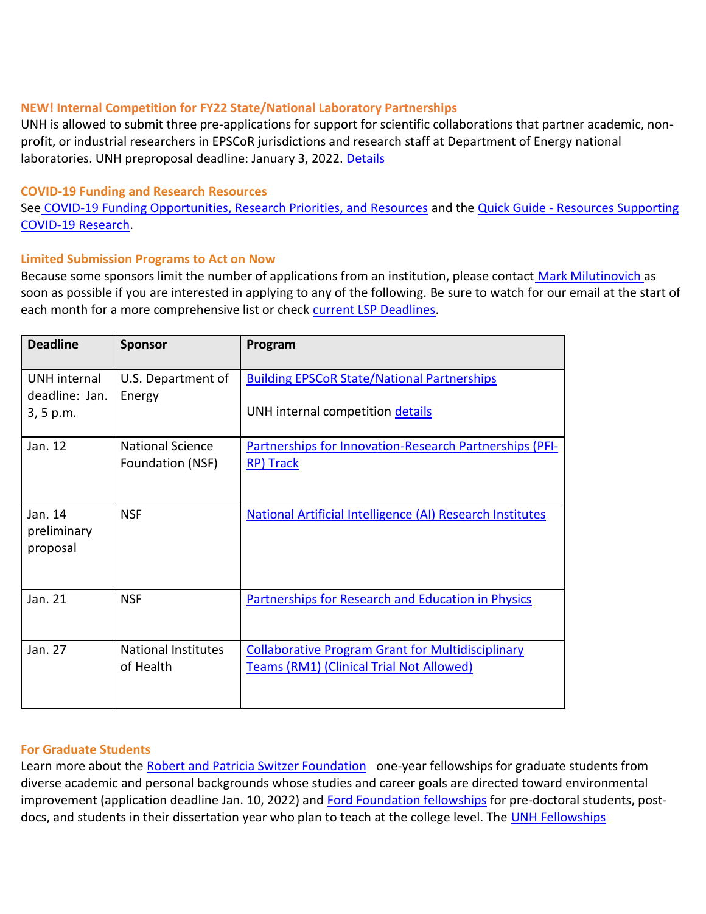# **NEW! Internal Competition for FY22 State/National Laboratory Partnerships**

UNH is allowed to submit three pre-applications for support for scientific collaborations that partner academic, nonprofit, or industrial researchers in EPSCoR jurisdictions and research staff at Department of Energy national laboratories. UNH preproposal deadline: January 3, 2022. [Details](https://nam12.safelinks.protection.outlook.com/?url=https%3A%2F%2Fclick.send.unh.edu%2F%3Fqs%3D9d13ff4d9cefc477559ea6a5abd9516d77f6a9d5f00368488a4021d4757418d4c35104323aa444c2e4920f073fb3aeaafec7f6814d51ccb7&data=04%7C01%7CNicole.Hentz%40unh.edu%7C956b9a348c434366d88008d9bfe9aba1%7Cd6241893512d46dc8d2bbe47e25f5666%7C0%7C0%7C637751832589189585%7CUnknown%7CTWFpbGZsb3d8eyJWIjoiMC4wLjAwMDAiLCJQIjoiV2luMzIiLCJBTiI6Ik1haWwiLCJXVCI6Mn0%3D%7C3000&sdata=iLAutQS3DI542CDk2al3vquvXurAETPHHe5h9ADNHLc%3D&reserved=0)

# **COVID-19 Funding and Research Resources**

See [COVID-19 Funding Opportunities, Research Priorities, and Resources](https://nam12.safelinks.protection.outlook.com/?url=https%3A%2F%2Fclick.send.unh.edu%2F%3Fqs%3D9d13ff4d9cefc4773267ff25cedf67ab7959e875b5c913b8594533143b134a8cf57517838095b54db862a81b6675b3193cfc487bfda420b4&data=04%7C01%7CNicole.Hentz%40unh.edu%7C956b9a348c434366d88008d9bfe9aba1%7Cd6241893512d46dc8d2bbe47e25f5666%7C0%7C0%7C637751832589199540%7CUnknown%7CTWFpbGZsb3d8eyJWIjoiMC4wLjAwMDAiLCJQIjoiV2luMzIiLCJBTiI6Ik1haWwiLCJXVCI6Mn0%3D%7C3000&sdata=dUo3NAo0LRVPznyhZgzxfW%2FKvuh5x%2Bj09lCem9yevNo%3D&reserved=0) and the Quick Guide - Resources Supporting [COVID-19 Research.](https://nam12.safelinks.protection.outlook.com/?url=https%3A%2F%2Fclick.send.unh.edu%2F%3Fqs%3D9d13ff4d9cefc4771b672cdc95b368ecfc1dfb540a43e5524f96d0c894dada3db4df4da3cb192c48089591b01b00f17d509c1ca780b98195&data=04%7C01%7CNicole.Hentz%40unh.edu%7C956b9a348c434366d88008d9bfe9aba1%7Cd6241893512d46dc8d2bbe47e25f5666%7C0%7C0%7C637751832589199540%7CUnknown%7CTWFpbGZsb3d8eyJWIjoiMC4wLjAwMDAiLCJQIjoiV2luMzIiLCJBTiI6Ik1haWwiLCJXVCI6Mn0%3D%7C3000&sdata=pKgr%2FaURoG8%2BSFGIN3hN%2B%2FnZkJr4c64H5DqsAufdmgQ%3D&reserved=0)

# **Limited Submission Programs to Act on Now**

Because some sponsors limit the number of applications from an institution, please contact [Mark Milutinovich](mailto:mark.milutinovich@unh.edu) as soon as possible if you are interested in applying to any of the following. Be sure to watch for our email at the start of each month for a more comprehensive list or check [current LSP Deadlines.](https://nam12.safelinks.protection.outlook.com/?url=https%3A%2F%2Fclick.send.unh.edu%2F%3Fqs%3D9d13ff4d9cefc4779f722e41f95605c17d59216ab8f6b36b24fbf91e60177965097345e0940eb764f76ffcfd03821f19d0f36118134861aa&data=04%7C01%7CNicole.Hentz%40unh.edu%7C956b9a348c434366d88008d9bfe9aba1%7Cd6241893512d46dc8d2bbe47e25f5666%7C0%7C0%7C637751832589209497%7CUnknown%7CTWFpbGZsb3d8eyJWIjoiMC4wLjAwMDAiLCJQIjoiV2luMzIiLCJBTiI6Ik1haWwiLCJXVCI6Mn0%3D%7C3000&sdata=5yKv6vAJfOLLJUvlMMTu48FpzbhI9LPU8KnZcGA5pGs%3D&reserved=0)

| <b>Deadline</b>                    | <b>Sponsor</b>                          | Program                                                                                              |
|------------------------------------|-----------------------------------------|------------------------------------------------------------------------------------------------------|
| UNH internal<br>deadline: Jan.     | U.S. Department of<br>Energy            | <b>Building EPSCoR State/National Partnerships</b>                                                   |
| 3, 5 p.m.                          |                                         | UNH internal competition details                                                                     |
| Jan. 12                            | National Science<br>Foundation (NSF)    | Partnerships for Innovation-Research Partnerships (PFI-<br><b>RP) Track</b>                          |
| Jan. 14<br>preliminary<br>proposal | <b>NSF</b>                              | <b>National Artificial Intelligence (AI) Research Institutes</b>                                     |
| Jan. 21                            | <b>NSF</b>                              | <b>Partnerships for Research and Education in Physics</b>                                            |
| Jan. 27                            | <b>National Institutes</b><br>of Health | <b>Collaborative Program Grant for Multidisciplinary</b><br>Teams (RM1) (Clinical Trial Not Allowed) |

# **For Graduate Students**

Learn more about the [Robert and Patricia Switzer Foundation](https://nam12.safelinks.protection.outlook.com/?url=https%3A%2F%2Fclick.send.unh.edu%2F%3Fqs%3D9d13ff4d9cefc477948b83d39f06dbea42fce38fddddb389a4aa75a981c892b27d2c1d982dc851ef470edd265e2f584aa2d2a4ab17fdef6d&data=04%7C01%7CNicole.Hentz%40unh.edu%7C956b9a348c434366d88008d9bfe9aba1%7Cd6241893512d46dc8d2bbe47e25f5666%7C0%7C0%7C637751832589239368%7CUnknown%7CTWFpbGZsb3d8eyJWIjoiMC4wLjAwMDAiLCJQIjoiV2luMzIiLCJBTiI6Ik1haWwiLCJXVCI6Mn0%3D%7C3000&sdata=hHCLq1r8Hh%2FixYVmgwIsOddvIDpvk%2FB6Ex2QlLW5cIc%3D&reserved=0) one-year fellowships for graduate students from diverse academic and personal backgrounds whose studies and career goals are directed toward environmental improvement (application deadline Jan. 10, 2022) and [Ford Foundation fellowships](https://nam12.safelinks.protection.outlook.com/?url=https%3A%2F%2Fclick.send.unh.edu%2F%3Fqs%3D9d13ff4d9cefc477105d2af8d0ad6d218491d403391a9f9cc2bfbe8497fd98cd786d772cc698981d4eb456208ef60c7a23edf9acb60643c9&data=04%7C01%7CNicole.Hentz%40unh.edu%7C956b9a348c434366d88008d9bfe9aba1%7Cd6241893512d46dc8d2bbe47e25f5666%7C0%7C0%7C637751832589249323%7CUnknown%7CTWFpbGZsb3d8eyJWIjoiMC4wLjAwMDAiLCJQIjoiV2luMzIiLCJBTiI6Ik1haWwiLCJXVCI6Mn0%3D%7C3000&sdata=asFIt0jYanL0urF3Npo%2B6LUyGKdrVa6tkF4GUiQGf7s%3D&reserved=0) for pre-doctoral students, postdocs, and students in their dissertation year who plan to teach at the college level. The UNH Fellowships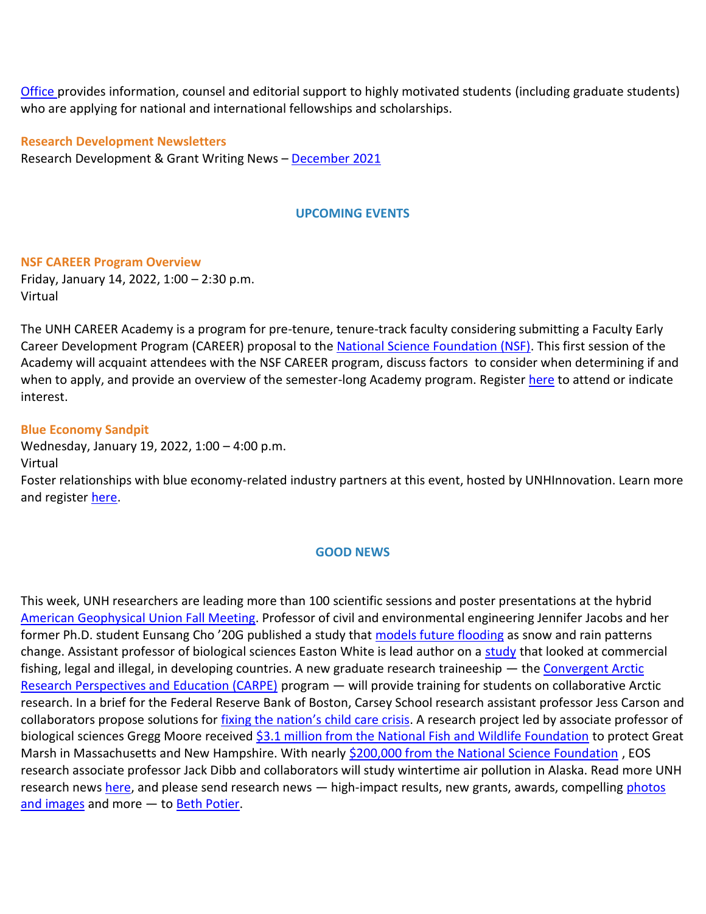[Office](https://nam12.safelinks.protection.outlook.com/?url=https%3A%2F%2Fclick.send.unh.edu%2F%3Fqs%3D9d13ff4d9cefc47789ce3dc00963c54356471f096745df2b4c501ec81f1a9ea3d407020e0760077db08560adefb5df871236c88decdde10f&data=04%7C01%7CNicole.Hentz%40unh.edu%7C956b9a348c434366d88008d9bfe9aba1%7Cd6241893512d46dc8d2bbe47e25f5666%7C0%7C0%7C637751832589249323%7CUnknown%7CTWFpbGZsb3d8eyJWIjoiMC4wLjAwMDAiLCJQIjoiV2luMzIiLCJBTiI6Ik1haWwiLCJXVCI6Mn0%3D%7C3000&sdata=YHy8iyypJW99gz9T%2FKRr6gmwV53bmKm0wDytobzkhFY%3D&reserved=0) provides information, counsel and editorial support to highly motivated students (including graduate students) who are applying for national and international fellowships and scholarships.

**Research Development Newsletters**

Research Development & Grant Writing News – [December 2021](https://nam12.safelinks.protection.outlook.com/?url=https%3A%2F%2Fclick.send.unh.edu%2F%3Fqs%3D9d13ff4d9cefc4775063521527677bb6970635a4a8f5b041143e1f71c8ed454c52d2c5a20afc7b6b152ee0a9988b524923a1e38df4968b9d&data=04%7C01%7CNicole.Hentz%40unh.edu%7C956b9a348c434366d88008d9bfe9aba1%7Cd6241893512d46dc8d2bbe47e25f5666%7C0%7C0%7C637751832589259280%7CUnknown%7CTWFpbGZsb3d8eyJWIjoiMC4wLjAwMDAiLCJQIjoiV2luMzIiLCJBTiI6Ik1haWwiLCJXVCI6Mn0%3D%7C3000&sdata=lWc3qQ3L2EMgyMTbH865LCUqMoeq0cRVkHReX%2BEE4uQ%3D&reserved=0)

### **UPCOMING EVENTS**

**NSF CAREER Program Overview**

Friday, January 14, 2022, 1:00 – 2:30 p.m. Virtual

The UNH CAREER Academy is a program for pre-tenure, tenure-track faculty considering submitting a Faculty Early Career Development Program (CAREER) proposal to the National [Science Foundation \(NSF\).](https://nam12.safelinks.protection.outlook.com/?url=https%3A%2F%2Fclick.send.unh.edu%2F%3Fqs%3D9d13ff4d9cefc477a1a6a5d7e141e839e0da6028ce33ab5cd894f6be1bfb74566bc3b738c4f6f416f7d45e1aa8d81eb9178b7220d26b9d27&data=04%7C01%7CNicole.Hentz%40unh.edu%7C956b9a348c434366d88008d9bfe9aba1%7Cd6241893512d46dc8d2bbe47e25f5666%7C0%7C0%7C637751832589269235%7CUnknown%7CTWFpbGZsb3d8eyJWIjoiMC4wLjAwMDAiLCJQIjoiV2luMzIiLCJBTiI6Ik1haWwiLCJXVCI6Mn0%3D%7C3000&sdata=%2Fd2b3jeJ1htOlha1eyPF2WUeRfTkQdxqzI80%2F1LvBhQ%3D&reserved=0) This first session of the Academy will acquaint attendees with the NSF CAREER program, discuss factors to consider when determining if and when to apply, and provide an overview of the semester-long Academy program. Register [here](https://nam12.safelinks.protection.outlook.com/?url=https%3A%2F%2Fclick.send.unh.edu%2F%3Fqs%3D9d13ff4d9cefc477b1d88fd235d51735f86bca577f17f591ffaa70aff477c825f345a3294210aac9aed9a06f142dafeb98255e28855d3326&data=04%7C01%7CNicole.Hentz%40unh.edu%7C956b9a348c434366d88008d9bfe9aba1%7Cd6241893512d46dc8d2bbe47e25f5666%7C0%7C0%7C637751832589269235%7CUnknown%7CTWFpbGZsb3d8eyJWIjoiMC4wLjAwMDAiLCJQIjoiV2luMzIiLCJBTiI6Ik1haWwiLCJXVCI6Mn0%3D%7C3000&sdata=6pxvXlmh97%2FC23dySDHf%2FODX7TmFgKDnI%2BAjHCEnzkE%3D&reserved=0) to attend or indicate interest.

### **Blue Economy Sandpit**

Wednesday, January 19, 2022, 1:00 – 4:00 p.m. Virtual

Foster relationships with blue economy-related industry partners at this event, hosted by UNHInnovation. Learn more and register [here.](https://nam12.safelinks.protection.outlook.com/?url=https%3A%2F%2Fclick.send.unh.edu%2F%3Fqs%3D9d13ff4d9cefc477547c0bce337d40ffd595f181ea9a4b5918e383505a806e48f522451b87c04575f23e7f257b335ba173f20e3d0befdddd&data=04%7C01%7CNicole.Hentz%40unh.edu%7C956b9a348c434366d88008d9bfe9aba1%7Cd6241893512d46dc8d2bbe47e25f5666%7C0%7C0%7C637751832589279194%7CUnknown%7CTWFpbGZsb3d8eyJWIjoiMC4wLjAwMDAiLCJQIjoiV2luMzIiLCJBTiI6Ik1haWwiLCJXVCI6Mn0%3D%7C3000&sdata=tdgUibFeoUUUqRkollCJos%2FsSpxXFYBJXm2%2F9ztOPbs%3D&reserved=0)

## **GOOD NEWS**

This week, UNH researchers are leading more than 100 scientific sessions and poster presentations at the hybrid [American Geophysical Union Fall Meeting.](https://nam12.safelinks.protection.outlook.com/?url=https%3A%2F%2Fclick.send.unh.edu%2F%3Fqs%3D9d13ff4d9cefc477af5d34dcfc5faeed824588a05d8dd84b6a1ee8100c89ad7a2763001bfa4804a23c5a75ba5ab8556c26074efbc820bc92&data=04%7C01%7CNicole.Hentz%40unh.edu%7C956b9a348c434366d88008d9bfe9aba1%7Cd6241893512d46dc8d2bbe47e25f5666%7C0%7C0%7C637751832589279194%7CUnknown%7CTWFpbGZsb3d8eyJWIjoiMC4wLjAwMDAiLCJQIjoiV2luMzIiLCJBTiI6Ik1haWwiLCJXVCI6Mn0%3D%7C3000&sdata=MfFMORtlxE4kRMQSqfl5eDaaCxufZDmJ4CYmbYC46nY%3D&reserved=0) Professor of civil and environmental engineering Jennifer Jacobs and her former Ph.D. student Eunsang Cho '20G published a study that [models future flooding](https://nam12.safelinks.protection.outlook.com/?url=https%3A%2F%2Fclick.send.unh.edu%2F%3Fqs%3D9d13ff4d9cefc477fffbe20545a67aefdea9b51fc20a719e64f37312a61ec2c82317e423cbcc8e01ad1f17630d692364474997b5208d76f8&data=04%7C01%7CNicole.Hentz%40unh.edu%7C956b9a348c434366d88008d9bfe9aba1%7Cd6241893512d46dc8d2bbe47e25f5666%7C0%7C0%7C637751832589289147%7CUnknown%7CTWFpbGZsb3d8eyJWIjoiMC4wLjAwMDAiLCJQIjoiV2luMzIiLCJBTiI6Ik1haWwiLCJXVCI6Mn0%3D%7C3000&sdata=vh7zKpHcwOwyaCyhf6b7hmh5hCoaR2Oybkt19B%2Bq2LY%3D&reserved=0) as snow and rain patterns change. Assistant professor of biological sciences Easton White is lead author on a [study](https://nam12.safelinks.protection.outlook.com/?url=https%3A%2F%2Fclick.send.unh.edu%2F%3Fqs%3D9d13ff4d9cefc4775440d4ff85b06eef6e7ac230f983f5445ab52b1a7360009907aac06754de8c293859194f415cb4e7aea92a0ed8d2e9a5&data=04%7C01%7CNicole.Hentz%40unh.edu%7C956b9a348c434366d88008d9bfe9aba1%7Cd6241893512d46dc8d2bbe47e25f5666%7C0%7C0%7C637751832589289147%7CUnknown%7CTWFpbGZsb3d8eyJWIjoiMC4wLjAwMDAiLCJQIjoiV2luMzIiLCJBTiI6Ik1haWwiLCJXVCI6Mn0%3D%7C3000&sdata=%2BOC8saJ9niU%2FauPQl8rFWuOg93QRJQzH7CtCo%2FmP3XQ%3D&reserved=0) that looked at commercial fishing, legal and illegal, in developing countries. A new graduate research traineeship — the [Convergent Arctic](https://nam12.safelinks.protection.outlook.com/?url=https%3A%2F%2Fclick.send.unh.edu%2F%3Fqs%3D9d13ff4d9cefc4779b02157dcf9d50d3dae56b50e04985d537f5033bbc366af7c8aaa8593d74eb5d79abd2102875c19f39e54db79fef3be1&data=04%7C01%7CNicole.Hentz%40unh.edu%7C956b9a348c434366d88008d9bfe9aba1%7Cd6241893512d46dc8d2bbe47e25f5666%7C0%7C0%7C637751832589299104%7CUnknown%7CTWFpbGZsb3d8eyJWIjoiMC4wLjAwMDAiLCJQIjoiV2luMzIiLCJBTiI6Ik1haWwiLCJXVCI6Mn0%3D%7C3000&sdata=MuvnG0zSfPBBdpB7V9G%2F3yMzA5jKyDM78WK2nW0sXiU%3D&reserved=0)  [Research Perspectives and Education \(CARPE\)](https://nam12.safelinks.protection.outlook.com/?url=https%3A%2F%2Fclick.send.unh.edu%2F%3Fqs%3D9d13ff4d9cefc4779b02157dcf9d50d3dae56b50e04985d537f5033bbc366af7c8aaa8593d74eb5d79abd2102875c19f39e54db79fef3be1&data=04%7C01%7CNicole.Hentz%40unh.edu%7C956b9a348c434366d88008d9bfe9aba1%7Cd6241893512d46dc8d2bbe47e25f5666%7C0%7C0%7C637751832589299104%7CUnknown%7CTWFpbGZsb3d8eyJWIjoiMC4wLjAwMDAiLCJQIjoiV2luMzIiLCJBTiI6Ik1haWwiLCJXVCI6Mn0%3D%7C3000&sdata=MuvnG0zSfPBBdpB7V9G%2F3yMzA5jKyDM78WK2nW0sXiU%3D&reserved=0) program — will provide training for students on collaborative Arctic research. In a brief for the Federal Reserve Bank of Boston, Carsey School research assistant professor Jess Carson and collaborators propose solutions for [fixing the nation's child care crisis](https://nam12.safelinks.protection.outlook.com/?url=https%3A%2F%2Fclick.send.unh.edu%2F%3Fqs%3D9d13ff4d9cefc477be95775fed24068dc552db2503e7e9bc1c47d724e23a567dd3060bc1612a6203222b417b2020798f79887cc7a54be19a&data=04%7C01%7CNicole.Hentz%40unh.edu%7C956b9a348c434366d88008d9bfe9aba1%7Cd6241893512d46dc8d2bbe47e25f5666%7C0%7C0%7C637751832589299104%7CUnknown%7CTWFpbGZsb3d8eyJWIjoiMC4wLjAwMDAiLCJQIjoiV2luMzIiLCJBTiI6Ik1haWwiLCJXVCI6Mn0%3D%7C3000&sdata=vWAyY4phZNeON4TsIyxcWLoWFm3ygGgtIkdnF8LBriY%3D&reserved=0). A research project led by associate professor of biological sciences Gregg Moore received [\\$3.1 million from the National Fish and Wildlife Foundation](https://nam12.safelinks.protection.outlook.com/?url=https%3A%2F%2Fclick.send.unh.edu%2F%3Fqs%3D9d13ff4d9cefc47779ac3762ea727b4f222fc6bb669d6bd95e304b507b4c1aa28be42d36830d224d8b4039cef7e88d776f1244ceaac60a0d&data=04%7C01%7CNicole.Hentz%40unh.edu%7C956b9a348c434366d88008d9bfe9aba1%7Cd6241893512d46dc8d2bbe47e25f5666%7C0%7C0%7C637751832589309048%7CUnknown%7CTWFpbGZsb3d8eyJWIjoiMC4wLjAwMDAiLCJQIjoiV2luMzIiLCJBTiI6Ik1haWwiLCJXVCI6Mn0%3D%7C3000&sdata=%2F7N2TNbplpo%2FZB8OiBGvdTt5W6a%2B8hbGudYZAveUI2Y%3D&reserved=0) to protect Great Marsh in Massachusetts and New Hampshire. With nearly [\\$200,000 from the National Science Foundation](https://nam12.safelinks.protection.outlook.com/?url=https%3A%2F%2Fclick.send.unh.edu%2F%3Fqs%3D9d13ff4d9cefc477727653daa719e8ec3dc1e38d66d9ebfc42a4123f58499a47f4bca6e2e9e09d232b96112f8f7ebfbaafc8681efba09020&data=04%7C01%7CNicole.Hentz%40unh.edu%7C956b9a348c434366d88008d9bfe9aba1%7Cd6241893512d46dc8d2bbe47e25f5666%7C0%7C0%7C637751832589319009%7CUnknown%7CTWFpbGZsb3d8eyJWIjoiMC4wLjAwMDAiLCJQIjoiV2luMzIiLCJBTiI6Ik1haWwiLCJXVCI6Mn0%3D%7C3000&sdata=ETP%2BCMXHZ6%2FKKK0AHeS7h%2Bu%2F5aKpKDxN1nhC06jzhts%3D&reserved=0), EOS research associate professor Jack Dibb and collaborators will study wintertime air pollution in Alaska. Read more UNH research news [here,](https://nam12.safelinks.protection.outlook.com/?url=https%3A%2F%2Fclick.send.unh.edu%2F%3Fqs%3D9d13ff4d9cefc477bd5e91db87e0636d2a13c415b1e40674c22574445884e106862f9029df76f618ee000c9da923b8d7505673d9ffb19c95&data=04%7C01%7CNicole.Hentz%40unh.edu%7C956b9a348c434366d88008d9bfe9aba1%7Cd6241893512d46dc8d2bbe47e25f5666%7C0%7C0%7C637751832589319009%7CUnknown%7CTWFpbGZsb3d8eyJWIjoiMC4wLjAwMDAiLCJQIjoiV2luMzIiLCJBTiI6Ik1haWwiLCJXVCI6Mn0%3D%7C3000&sdata=RB1mSJiF%2FrL1dXt9jGnagO%2Bxic7u9IXofhDbByJxL44%3D&reserved=0) and please send research news — high-impact results, new grants, awards, compelling photos [and images](https://nam12.safelinks.protection.outlook.com/?url=https%3A%2F%2Fclick.send.unh.edu%2F%3Fqs%3D9d13ff4d9cefc47729f757dc395421a5f6f18416ba116a40e19e1a993425a5efa2c535f8c979b77127efd922cb7d38cce63dae82c1e7d277&data=04%7C01%7CNicole.Hentz%40unh.edu%7C956b9a348c434366d88008d9bfe9aba1%7Cd6241893512d46dc8d2bbe47e25f5666%7C0%7C0%7C637751832589328974%7CUnknown%7CTWFpbGZsb3d8eyJWIjoiMC4wLjAwMDAiLCJQIjoiV2luMzIiLCJBTiI6Ik1haWwiLCJXVCI6Mn0%3D%7C3000&sdata=F6TLSX2CZgcWhvXbXV4k4bok19lJBE71T4DUch8lPKM%3D&reserved=0) and more - to [Beth Potier.](mailto:beth.potier@unh.edu)